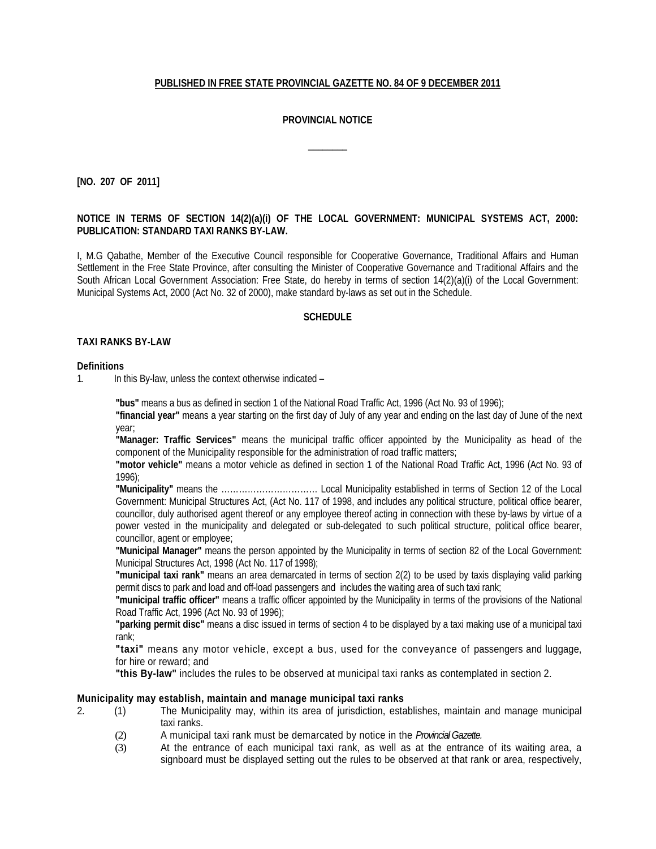## **PUBLISHED IN FREE STATE PROVINCIAL GAZETTE NO. 84 OF 9 DECEMBER 2011**

# **PROVINCIAL NOTICE**

 $\overline{\phantom{a}}$ 

**[NO. 207 OF 2011]**

## **NOTICE IN TERMS OF SECTION 14(2)(a)(i) OF THE LOCAL GOVERNMENT: MUNICIPAL SYSTEMS ACT, 2000: PUBLICATION: STANDARD TAXI RANKS BY-LAW.**

I, M.G Qabathe, Member of the Executive Council responsible for Cooperative Governance, Traditional Affairs and Human Settlement in the Free State Province, after consulting the Minister of Cooperative Governance and Traditional Affairs and the South African Local Government Association: Free State, do hereby in terms of section 14(2)(a)(i) of the Local Government: Municipal Systems Act, 2000 (Act No. 32 of 2000), make standard by-laws as set out in the Schedule.

## **SCHEDULE**

#### **TAXI RANKS BY-LAW**

#### **Definitions**

1. In this By-law, unless the context otherwise indicated –

**"bus"** means a bus as defined in section 1 of the National Road Traffic Act, 1996 (Act No. 93 of 1996);

**"financial year"** means a year starting on the first day of July of any year and ending on the last day of June of the next year;

**"Manager: Traffic Services"** means the municipal traffic officer appointed by the Municipality as head of the component of the Municipality responsible for the administration of road traffic matters;

**"motor vehicle"** means a motor vehicle as defined in section 1 of the National Road Traffic Act, 1996 (Act No. 93 of 1996);

**"Municipality"** means the …………………………… Local Municipality established in terms of Section 12 of the Local Government: Municipal Structures Act, (Act No. 117 of 1998, and includes any political structure, political office bearer, councillor, duly authorised agent thereof or any employee thereof acting in connection with these by-laws by virtue of a power vested in the municipality and delegated or sub-delegated to such political structure, political office bearer, councillor, agent or employee;

**"Municipal Manager"** means the person appointed by the Municipality in terms of section 82 of the Local Government: Municipal Structures Act, 1998 (Act No. 117 of 1998);

**"municipal taxi rank"** means an area demarcated in terms of section 2(2) to be used by taxis displaying valid parking permit discs to park and load and off-load passengers and includes the waiting area of such taxi rank;

**"municipal traffic officer"** means a traffic officer appointed by the Municipality in terms of the provisions of the National Road Traffic Act, 1996 (Act No. 93 of 1996);

**"parking permit disc"** means a disc issued in terms of section 4 to be displayed by a taxi making use of a municipal taxi rank;

**"taxi"** means any motor vehicle, except a bus, used for the conveyance of passengers and luggage, for hire or reward; and

**"this By-law"** includes the rules to be observed at municipal taxi ranks as contemplated in section 2.

#### **Municipality may establish, maintain and manage municipal taxi ranks**

- 2. (1) The Municipality may, within its area of jurisdiction, establishes, maintain and manage municipal taxi ranks.
	- (2) A municipal taxi rank must be demarcated by notice in the *Provincial Gazette.*
	- (3) At the entrance of each municipal taxi rank, as well as at the entrance of its waiting area, a signboard must be displayed setting out the rules to be observed at that rank or area, respectively,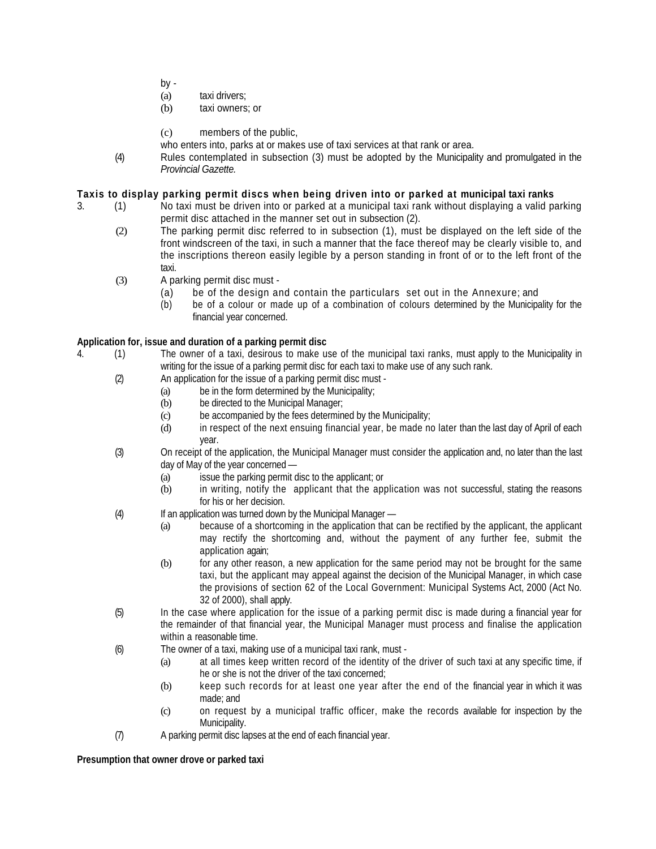- by -
- (a) taxi drivers;
- (b) taxi owners; or
- (c) members of the public,
- who enters into, parks at or makes use of taxi services at that rank or area.
- (4) Rules contemplated in subsection (3) must be adopted by the Municipality and promulgated in the *Provincial Gazette.*

## **Taxis to display parking permit discs when being driven into or parked at municipal taxi ranks**

- 3. (1) No taxi must be driven into or parked at a municipal taxi rank without displaying a valid parking permit disc attached in the manner set out in subsection (2).
	- (2) The parking permit disc referred to in subsection (1), must be displayed on the left side of the front windscreen of the taxi, in such a manner that the face thereof may be clearly visible to, and the inscriptions thereon easily legible by a person standing in front of or to the left front of the taxi.
	- (3) A parking permit disc must
		- (a) be of the design and contain the particulars set out in the Annexure; and
		- (b) be of a colour or made up of a combination of colours determined by the Municipality for the financial year concerned.

# **Application for, issue and duration of a parking permit disc**

- 4. (1) The owner of a taxi, desirous to make use of the municipal taxi ranks, must apply to the Municipality in writing for the issue of a parking permit disc for each taxi to make use of any such rank.
	- (2) An application for the issue of a parking permit disc must
		- (a) be in the form determined by the Municipality;
		- (b) be directed to the Municipal Manager;
		- (c) be accompanied by the fees determined by the Municipality;
		- (d) in respect of the next ensuing financial year, be made no later than the last day of April of each year.
	- (3) On receipt of the application, the Municipal Manager must consider the application and, no later than the last day of May of the year concerned —
		- (a) issue the parking permit disc to the applicant; or
		- (b) in writing, notify the applicant that the application was not successful, stating the reasons for his or her decision.
	- (4) If an application was turned down by the Municipal Manager
		- (a) because of a shortcoming in the application that can be rectified by the applicant, the applicant may rectify the shortcoming and, without the payment of any further fee, submit the application again;
		- (b) for any other reason, a new application for the same period may not be brought for the same taxi, but the applicant may appeal against the decision of the Municipal Manager, in which case the provisions of section 62 of the Local Government: Municipal Systems Act, 2000 (Act No. 32 of 2000), shall apply.
	- (5) In the case where application for the issue of a parking permit disc is made during a financial year for the remainder of that financial year, the Municipal Manager must process and finalise the application within a reasonable time.
	- (6) The owner of a taxi, making use of a municipal taxi rank, must
		- (a) at all times keep written record of the identity of the driver of such taxi at any specific time, if he or she is not the driver of the taxi concerned;
		- (b) keep such records for at least one year after the end of the financial year in which it was made; and
		- (c) on request by a municipal traffic officer, make the records available for inspection by the Municipality.
	- (7) A parking permit disc lapses at the end of each financial year.

## **Presumption that owner drove or parked taxi**